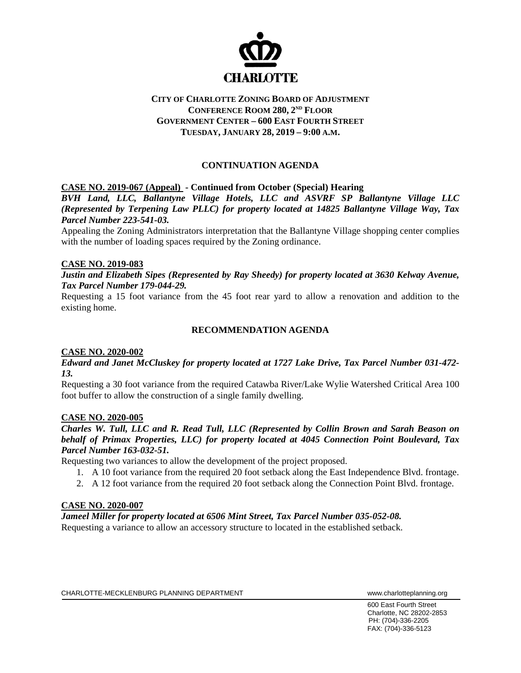

# **CITY OF CHARLOTTE ZONING BOARD OF ADJUSTMENT CONFERENCE ROOM 280, 2ND FLOOR GOVERNMENT CENTER – 600 EAST FOURTH STREET TUESDAY, JANUARY 28, 2019 – 9:00 A.M.**

# **CONTINUATION AGENDA**

### **CASE NO. 2019-067 (Appeal) - Continued from October (Special) Hearing**

*BVH Land, LLC, Ballantyne Village Hotels, LLC and ASVRF SP Ballantyne Village LLC (Represented by Terpening Law PLLC) for property located at 14825 Ballantyne Village Way, Tax Parcel Number 223-541-03.*

Appealing the Zoning Administrators interpretation that the Ballantyne Village shopping center complies with the number of loading spaces required by the Zoning ordinance.

#### **CASE NO. 2019-083**

*Justin and Elizabeth Sipes (Represented by Ray Sheedy) for property located at 3630 Kelway Avenue, Tax Parcel Number 179-044-29.*

Requesting a 15 foot variance from the 45 foot rear yard to allow a renovation and addition to the existing home.

# **RECOMMENDATION AGENDA**

### **CASE NO. 2020-002**

*Edward and Janet McCluskey for property located at 1727 Lake Drive, Tax Parcel Number 031-472- 13.*

Requesting a 30 foot variance from the required Catawba River/Lake Wylie Watershed Critical Area 100 foot buffer to allow the construction of a single family dwelling.

#### **CASE NO. 2020-005**

# *Charles W. Tull, LLC and R. Read Tull, LLC (Represented by Collin Brown and Sarah Beason on behalf of Primax Properties, LLC) for property located at 4045 Connection Point Boulevard, Tax Parcel Number 163-032-51.*

Requesting two variances to allow the development of the project proposed.

- 1. A 10 foot variance from the required 20 foot setback along the East Independence Blvd. frontage.
- 2. A 12 foot variance from the required 20 foot setback along the Connection Point Blvd. frontage.

### **CASE NO. 2020-007**

### *Jameel Miller for property located at 6506 Mint Street, Tax Parcel Number 035-052-08.*

Requesting a variance to allow an accessory structure to located in the established setback.

CHARLOTTE-MECKLENBURG PLANNING DEPARTMENT WWW.charlotteplanning.org

600 East Fourth Street Charlotte, NC 28202-2853 PH: (704)-336-2205 FAX: (704)-336-5123